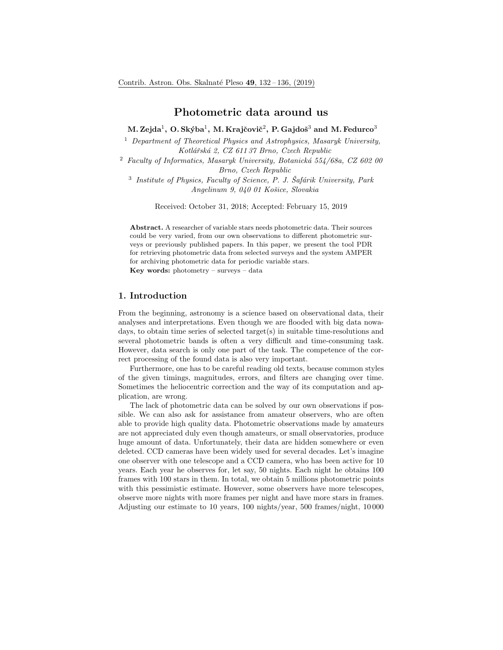## Photometric data around us

M. Zejda $^1$ , O. Skýba $^1$ , M. Krajčovič $^2$ , P. Gajdoš $^3$  and M. Fedurco $^3$ 

<sup>1</sup> Department of Theoretical Physics and Astrophysics, Masaryk University, Kotlářská 2, CZ 611 37 Brno, Czech Republic

<sup>2</sup> Faculty of Informatics, Masaryk University, Botanická 554/68a, CZ 602 00 Brno, Czech Republic

 $3$  Institute of Physics, Faculty of Science, P. J. Šafárik University, Park Angelinum 9, 040 01 Košice, Slovakia

Received: October 31, 2018; Accepted: February 15, 2019

Abstract. A researcher of variable stars needs photometric data. Their sources could be very varied, from our own observations to different photometric surveys or previously published papers. In this paper, we present the tool PDR for retrieving photometric data from selected surveys and the system AMPER for archiving photometric data for periodic variable stars.

Key words: photometry – surveys – data

# 1. Introduction

From the beginning, astronomy is a science based on observational data, their analyses and interpretations. Even though we are flooded with big data nowadays, to obtain time series of selected target $(s)$  in suitable time-resolutions and several photometric bands is often a very difficult and time-consuming task. However, data search is only one part of the task. The competence of the correct processing of the found data is also very important.

Furthermore, one has to be careful reading old texts, because common styles of the given timings, magnitudes, errors, and filters are changing over time. Sometimes the heliocentric correction and the way of its computation and application, are wrong.

The lack of photometric data can be solved by our own observations if possible. We can also ask for assistance from amateur observers, who are often able to provide high quality data. Photometric observations made by amateurs are not appreciated duly even though amateurs, or small observatories, produce huge amount of data. Unfortunately, their data are hidden somewhere or even deleted. CCD cameras have been widely used for several decades. Let's imagine one observer with one telescope and a CCD camera, who has been active for 10 years. Each year he observes for, let say, 50 nights. Each night he obtains 100 frames with 100 stars in them. In total, we obtain 5 millions photometric points with this pessimistic estimate. However, some observers have more telescopes, observe more nights with more frames per night and have more stars in frames. Adjusting our estimate to 10 years, 100 nights/year, 500 frames/night, 10 000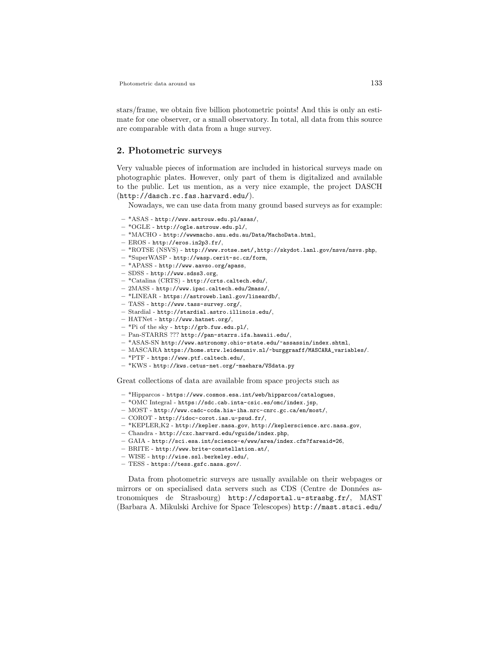Photometric data around us 133

stars/frame, we obtain five billion photometric points! And this is only an estimate for one observer, or a small observatory. In total, all data from this source are comparable with data from a huge survey.

#### 2. Photometric surveys

Very valuable pieces of information are included in historical surveys made on photographic plates. However, only part of them is digitalized and available to the public. Let us mention, as a very nice example, the project DASCH (http://dasch.rc.fas.harvard.edu/).

Nowadays, we can use data from many ground based surveys as for example:

- \*ASAS http://www.astrouw.edu.pl/asas/,
- \*OGLE http://ogle.astrouw.edu.pl/,
- \*MACHO http://wwwmacho.anu.edu.au/Data/MachoData.html,
- EROS http://eros.in2p3.fr/,
- \*ROTSE (NSVS) http://www.rotse.net/,http://skydot.lanl.gov/nsvs/nsvs.php,
- \*SuperWASP http://wasp.cerit-sc.cz/form,
- \*APASS http://www.aavso.org/apass,
- SDSS http://www.sdss3.org,
- \*Catalina (CRTS) http://crts.caltech.edu/,
- 2MASS http://www.ipac.caltech.edu/2mass/,
- \*LINEAR https://astroweb.lanl.gov/lineardb/,
- TASS http://www.tass-survey.org/,
- Stardial http://stardial.astro.illinois.edu/,
- HATNet http://www.hatnet.org/,
- \*Pi of the sky http://grb.fuw.edu.pl/,
- Pan-STARRS ??? http://pan-starrs.ifa.hawaii.edu/,
- \*ASAS-SN http://www.astronomy.ohio-state.edu/~assassin/index.shtml,
- MASCARA https://home.strw.leidenuniv.nl/~burggraaff/MASCARA\_variables/.
- \*PTF https://www.ptf.caltech.edu/,
- \*KWS http://kws.cetus-net.org/~maehara/VSdata.py

Great collections of data are available from space projects such as

- \*Hipparcos https://www.cosmos.esa.int/web/hipparcos/catalogues,
- \*OMC Integral https://sdc.cab.inta-csic.es/omc/index.jsp,
- MOST http://www.cadc-ccda.hia-iha.nrc-cnrc.gc.ca/en/most/,
- COROT http://idoc-corot.ias.u-psud.fr/,
- \*KEPLER,K2 http://kepler.nasa.gov, http://keplerscience.arc.nasa.gov,
- Chandra http://cxc.harvard.edu/vguide/index.php,
- GAIA http://sci.esa.int/science-e/www/area/index.cfm?fareaid=26,
- BRITE http://www.brite-constellation.at/,
- WISE http://wise.ssl.berkeley.edu/,
- TESS https://tess.gsfc.nasa.gov/.

Data from photometric surveys are usually available on their webpages or mirrors or on specialised data servers such as CDS (Centre de Données astronomiques de Strasbourg) http://cdsportal.u-strasbg.fr/, MAST (Barbara A. Mikulski Archive for Space Telescopes) http://mast.stsci.edu/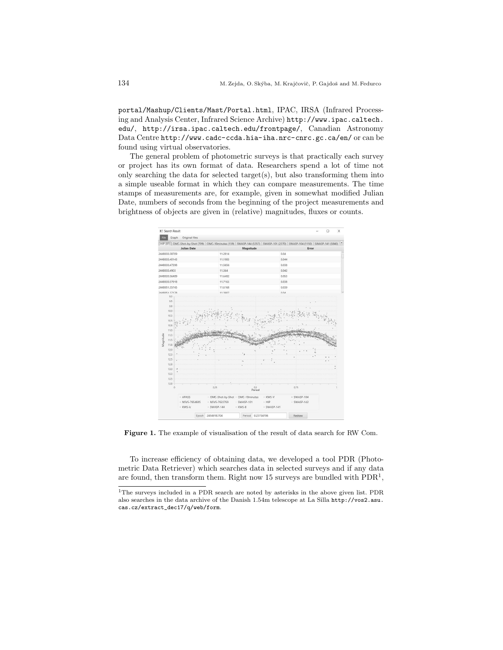portal/Mashup/Clients/Mast/Portal.html, IPAC, IRSA (Infrared Processing and Analysis Center, Infrared Science Archive) http://www.ipac.caltech. edu/, http://irsa.ipac.caltech.edu/frontpage/, Canadian Astronomy Data Centre http://www.cadc-ccda.hia-iha.nrc-cnrc.gc.ca/en/ or can be found using virtual observatories.

The general problem of photometric surveys is that practically each survey or project has its own format of data. Researchers spend a lot of time not only searching the data for selected target $(s)$ , but also transforming them into a simple useable format in which they can compare measurements. The time stamps of measurements are, for example, given in somewhat modified Julian Date, numbers of seconds from the beginning of the project measurements and brightness of objects are given in (relative) magnitudes, fluxes or counts.



Figure 1. The example of visualisation of the result of data search for RW Com.

To increase efficiency of obtaining data, we developed a tool PDR (Photometric Data Retriever) which searches data in selected surveys and if any data are found, then transform them. Right now 15 surveys are bundled with  $\text{PDR}^1$ ,

<sup>&</sup>lt;sup>1</sup>The surveys included in a PDR search are noted by asterisks in the above given list. PDR also searches in the data archive of the Danish 1.54m telescope at La Silla http://vos2.asu. cas.cz/extract\_dec17/q/web/form.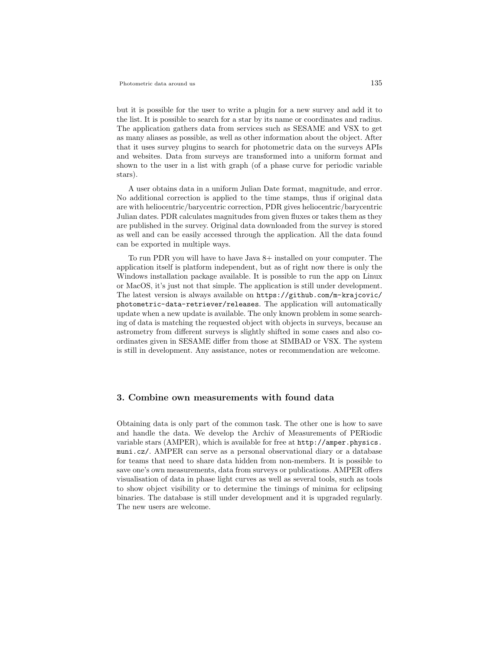but it is possible for the user to write a plugin for a new survey and add it to the list. It is possible to search for a star by its name or coordinates and radius. The application gathers data from services such as SESAME and VSX to get as many aliases as possible, as well as other information about the object. After that it uses survey plugins to search for photometric data on the surveys APIs and websites. Data from surveys are transformed into a uniform format and shown to the user in a list with graph (of a phase curve for periodic variable stars).

A user obtains data in a uniform Julian Date format, magnitude, and error. No additional correction is applied to the time stamps, thus if original data are with heliocentric/barycentric correction, PDR gives heliocentric/barycentric Julian dates. PDR calculates magnitudes from given fluxes or takes them as they are published in the survey. Original data downloaded from the survey is stored as well and can be easily accessed through the application. All the data found can be exported in multiple ways.

To run PDR you will have to have Java 8+ installed on your computer. The application itself is platform independent, but as of right now there is only the Windows installation package available. It is possible to run the app on Linux or MacOS, it's just not that simple. The application is still under development. The latest version is always available on https://github.com/m-krajcovic/ photometric-data-retriever/releases. The application will automatically update when a new update is available. The only known problem in some searching of data is matching the requested object with objects in surveys, because an astrometry from different surveys is slightly shifted in some cases and also coordinates given in SESAME differ from those at SIMBAD or VSX. The system is still in development. Any assistance, notes or recommendation are welcome.

#### 3. Combine own measurements with found data

Obtaining data is only part of the common task. The other one is how to save and handle the data. We develop the Archiv of Measurements of PERiodic variable stars (AMPER), which is available for free at http://amper.physics. muni.cz/. AMPER can serve as a personal observational diary or a database for teams that need to share data hidden from non-members. It is possible to save one's own measurements, data from surveys or publications. AMPER offers visualisation of data in phase light curves as well as several tools, such as tools to show object visibility or to determine the timings of minima for eclipsing binaries. The database is still under development and it is upgraded regularly. The new users are welcome.